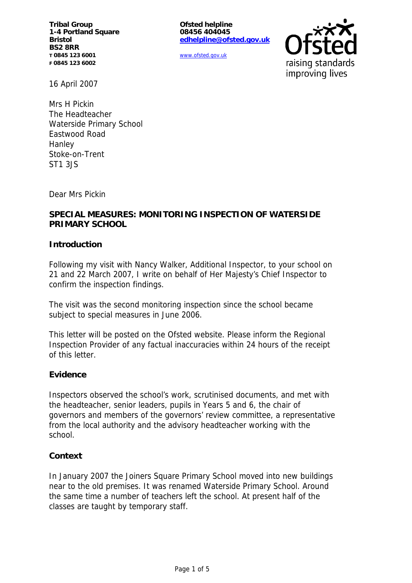**Tribal Group 1-4 Portland Square Bristol BS2 8RR T 0845 123 6001 F 0845 123 6002**

**Ofsted helpline 08456 404045 edhelpline@ofsted.gov.uk**

www.ofsted.gov.uk



16 April 2007

Mrs H Pickin The Headteacher Waterside Primary School Eastwood Road Hanley Stoke-on-Trent ST1 3JS

Dear Mrs Pickin

## **SPECIAL MEASURES: MONITORING INSPECTION OF WATERSIDE PRIMARY SCHOOL**

#### **Introduction**

Following my visit with Nancy Walker, Additional Inspector, to your school on 21 and 22 March 2007, I write on behalf of Her Majesty's Chief Inspector to confirm the inspection findings.

The visit was the second monitoring inspection since the school became subject to special measures in June 2006.

This letter will be posted on the Ofsted website. Please inform the Regional Inspection Provider of any factual inaccuracies within 24 hours of the receipt of this letter.

#### **Evidence**

Inspectors observed the school's work, scrutinised documents, and met with the headteacher, senior leaders, pupils in Years 5 and 6, the chair of governors and members of the governors' review committee, a representative from the local authority and the advisory headteacher working with the school.

#### **Context**

In January 2007 the Joiners Square Primary School moved into new buildings near to the old premises. It was renamed Waterside Primary School. Around the same time a number of teachers left the school. At present half of the classes are taught by temporary staff.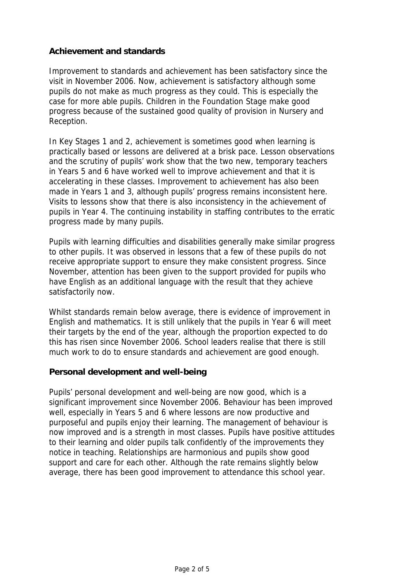## **Achievement and standards**

Improvement to standards and achievement has been satisfactory since the visit in November 2006. Now, achievement is satisfactory although some pupils do not make as much progress as they could. This is especially the case for more able pupils. Children in the Foundation Stage make good progress because of the sustained good quality of provision in Nursery and Reception.

In Key Stages 1 and 2, achievement is sometimes good when learning is practically based or lessons are delivered at a brisk pace. Lesson observations and the scrutiny of pupils' work show that the two new, temporary teachers in Years 5 and 6 have worked well to improve achievement and that it is accelerating in these classes. Improvement to achievement has also been made in Years 1 and 3, although pupils' progress remains inconsistent here. Visits to lessons show that there is also inconsistency in the achievement of pupils in Year 4. The continuing instability in staffing contributes to the erratic progress made by many pupils.

Pupils with learning difficulties and disabilities generally make similar progress to other pupils. It was observed in lessons that a few of these pupils do not receive appropriate support to ensure they make consistent progress. Since November, attention has been given to the support provided for pupils who have English as an additional language with the result that they achieve satisfactorily now.

Whilst standards remain below average, there is evidence of improvement in English and mathematics. It is still unlikely that the pupils in Year 6 will meet their targets by the end of the year, although the proportion expected to do this has risen since November 2006. School leaders realise that there is still much work to do to ensure standards and achievement are good enough.

### **Personal development and well-being**

Pupils' personal development and well-being are now good, which is a significant improvement since November 2006. Behaviour has been improved well, especially in Years 5 and 6 where lessons are now productive and purposeful and pupils enjoy their learning. The management of behaviour is now improved and is a strength in most classes. Pupils have positive attitudes to their learning and older pupils talk confidently of the improvements they notice in teaching. Relationships are harmonious and pupils show good support and care for each other. Although the rate remains slightly below average, there has been good improvement to attendance this school year.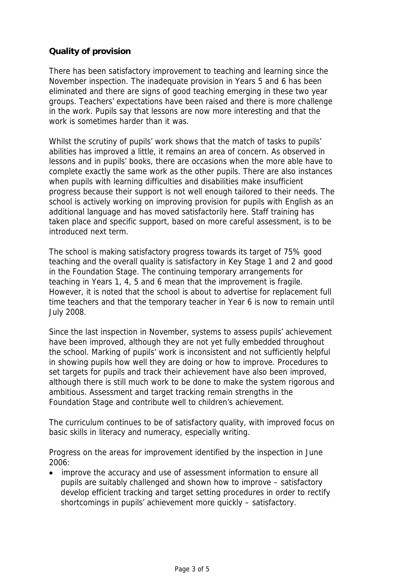# **Quality of provision**

There has been satisfactory improvement to teaching and learning since the November inspection. The inadequate provision in Years 5 and 6 has been eliminated and there are signs of good teaching emerging in these two year groups. Teachers' expectations have been raised and there is more challenge in the work. Pupils say that lessons are now more interesting and that the work is sometimes harder than it was.

Whilst the scrutiny of pupils' work shows that the match of tasks to pupils' abilities has improved a little, it remains an area of concern. As observed in lessons and in pupils' books, there are occasions when the more able have to complete exactly the same work as the other pupils. There are also instances when pupils with learning difficulties and disabilities make insufficient progress because their support is not well enough tailored to their needs. The school is actively working on improving provision for pupils with English as an additional language and has moved satisfactorily here. Staff training has taken place and specific support, based on more careful assessment, is to be introduced next term.

The school is making satisfactory progress towards its target of 75% good teaching and the overall quality is satisfactory in Key Stage 1 and 2 and good in the Foundation Stage. The continuing temporary arrangements for teaching in Years 1, 4, 5 and 6 mean that the improvement is fragile. However, it is noted that the school is about to advertise for replacement full time teachers and that the temporary teacher in Year 6 is now to remain until July 2008.

Since the last inspection in November, systems to assess pupils' achievement have been improved, although they are not yet fully embedded throughout the school. Marking of pupils' work is inconsistent and not sufficiently helpful in showing pupils how well they are doing or how to improve. Procedures to set targets for pupils and track their achievement have also been improved, although there is still much work to be done to make the system rigorous and ambitious. Assessment and target tracking remain strengths in the Foundation Stage and contribute well to children's achievement.

The curriculum continues to be of satisfactory quality, with improved focus on basic skills in literacy and numeracy, especially writing.

Progress on the areas for improvement identified by the inspection in June 2006:

 improve the accuracy and use of assessment information to ensure all pupils are suitably challenged and shown how to improve – satisfactory develop efficient tracking and target setting procedures in order to rectify shortcomings in pupils' achievement more quickly – satisfactory.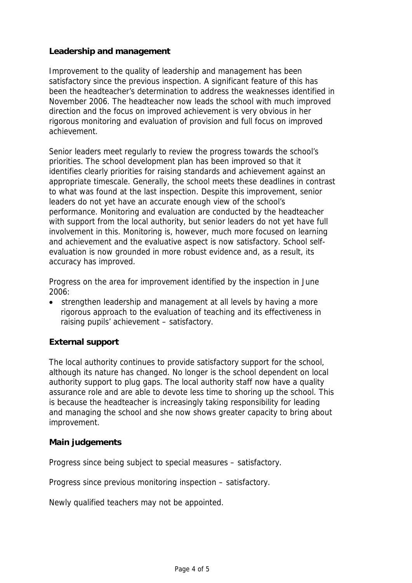## **Leadership and management**

Improvement to the quality of leadership and management has been satisfactory since the previous inspection. A significant feature of this has been the headteacher's determination to address the weaknesses identified in November 2006. The headteacher now leads the school with much improved direction and the focus on improved achievement is very obvious in her rigorous monitoring and evaluation of provision and full focus on improved achievement.

Senior leaders meet regularly to review the progress towards the school's priorities. The school development plan has been improved so that it identifies clearly priorities for raising standards and achievement against an appropriate timescale. Generally, the school meets these deadlines in contrast to what was found at the last inspection. Despite this improvement, senior leaders do not yet have an accurate enough view of the school's performance. Monitoring and evaluation are conducted by the headteacher with support from the local authority, but senior leaders do not yet have full involvement in this. Monitoring is, however, much more focused on learning and achievement and the evaluative aspect is now satisfactory. School selfevaluation is now grounded in more robust evidence and, as a result, its accuracy has improved.

Progress on the area for improvement identified by the inspection in June 2006:

 strengthen leadership and management at all levels by having a more rigorous approach to the evaluation of teaching and its effectiveness in raising pupils' achievement – satisfactory.

# **External support**

The local authority continues to provide satisfactory support for the school, although its nature has changed. No longer is the school dependent on local authority support to plug gaps. The local authority staff now have a quality assurance role and are able to devote less time to shoring up the school. This is because the headteacher is increasingly taking responsibility for leading and managing the school and she now shows greater capacity to bring about improvement.

### **Main judgements**

Progress since being subject to special measures – satisfactory.

Progress since previous monitoring inspection – satisfactory.

Newly qualified teachers may not be appointed.